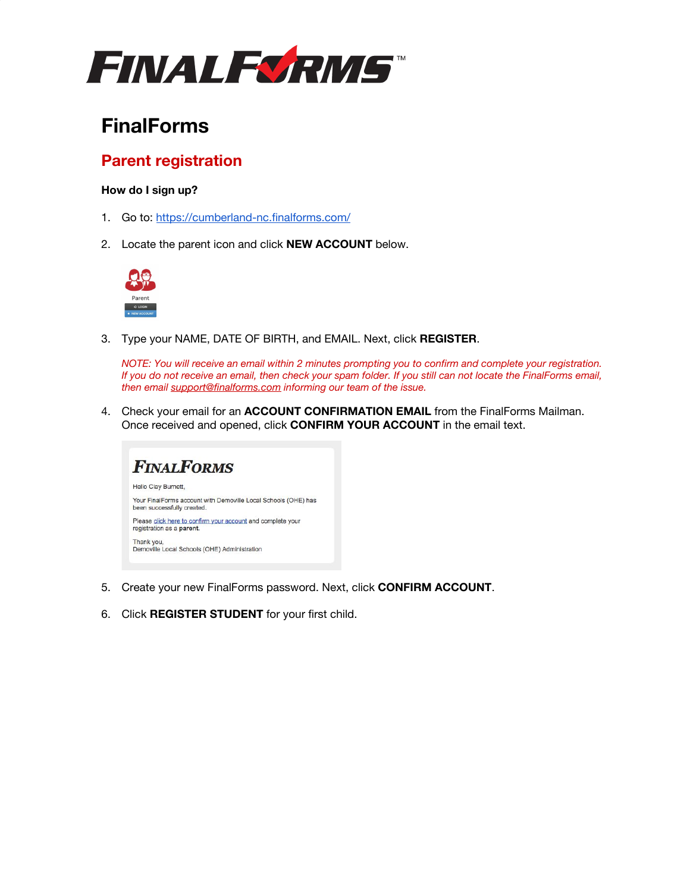

# **FinalForms**

## **Parent registration**

### **How do I sign up?**

- 1. Go to: <https://cumberland-nc.finalforms.com/>
- 2. Locate the parent icon and click **NEW ACCOUNT** below.



3. Type your NAME, DATE OF BIRTH, and EMAIL. Next, click **REGISTER**.

*NOTE: You will receive an email within 2 minutes prompting you to confirm and complete your registration. If you do not receive an email, then check your spam folder. If you still can not locate the FinalForms email, then email [support@finalforms.com](mailto:support@finalforms.com) informing our team of the issue.*

4. Check your email for an **ACCOUNT CONFIRMATION EMAIL** from the FinalForms Mailman. Once received and opened, click **CONFIRM YOUR ACCOUNT** in the email text.



- 5. Create your new FinalForms password. Next, click **CONFIRM ACCOUNT**.
- 6. Click **REGISTER STUDENT** for your first child.